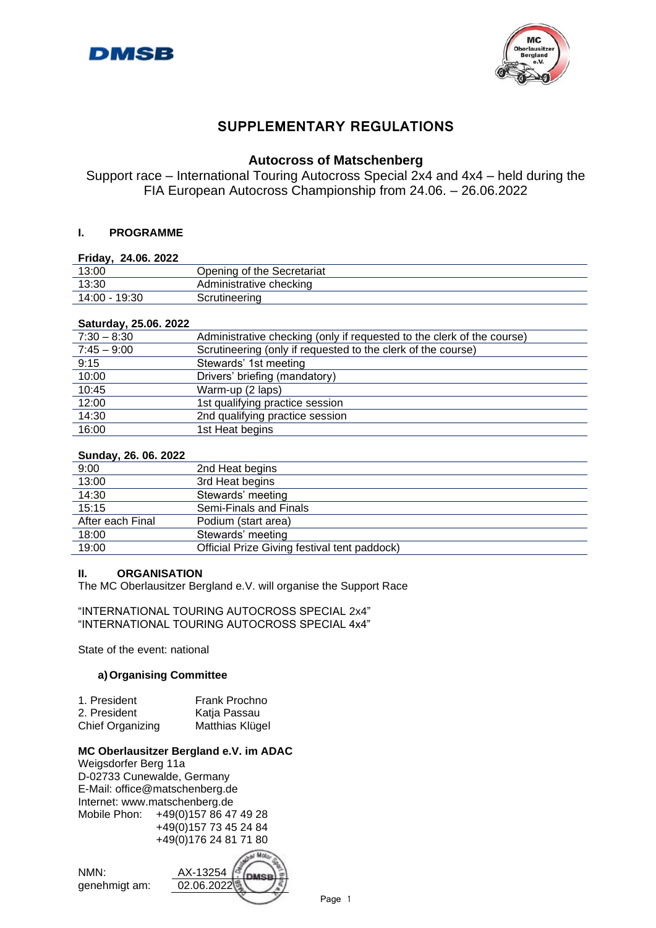



# **SUPPLEMENTARY REGULATIONS**

## **Autocross of Matschenberg**

Support race – International Touring Autocross Special 2x4 and 4x4 – held during the FIA European Autocross Championship from 24.06. – 26.06.2022

## **I. PROGRAMME**

## **Friday, 24.06. 2022**

| _  . _ . _ .  |                            |
|---------------|----------------------------|
| 13:00         | Opening of the Secretariat |
| 13:30         | Administrative checking    |
| 14:00 - 19:30 | Scrutineering              |
|               |                            |

## **Saturday, 25.06. 2022**

| $7:30 - 8:30$ | Administrative checking (only if requested to the clerk of the course) |
|---------------|------------------------------------------------------------------------|
| $7:45 - 9:00$ | Scrutineering (only if requested to the clerk of the course)           |
| 9:15          | Stewards' 1st meeting                                                  |
| 10:00         | Drivers' briefing (mandatory)                                          |
| 10:45         | Warm-up (2 laps)                                                       |
| 12:00         | 1st qualifying practice session                                        |
| 14:30         | 2nd qualifying practice session                                        |
| 16:00         | 1st Heat begins                                                        |
|               |                                                                        |

## **Sunday, 26. 06. 2022**

| -------- <b></b> , |                                              |
|--------------------|----------------------------------------------|
| 9:00               | 2nd Heat begins                              |
| 13:00              | 3rd Heat begins                              |
| 14:30              | Stewards' meeting                            |
| 15:15              | Semi-Finals and Finals                       |
| After each Final   | Podium (start area)                          |
| 18:00              | Stewards' meeting                            |
| 19:00              | Official Prize Giving festival tent paddock) |
|                    |                                              |

## **II. ORGANISATION**

The MC Oberlausitzer Bergland e.V. will organise the Support Race

"INTERNATIONAL TOURING AUTOCROSS SPECIAL 2x4" "INTERNATIONAL TOURING AUTOCROSS SPECIAL 4x4"

State of the event: national

## **a)Organising Committee**

| 1. President     | Frank Prochno   |
|------------------|-----------------|
| 2. President     | Katja Passau    |
| Chief Organizing | Matthias Klügel |

## **MC Oberlausitzer Bergland e.V. im ADAC**

Weigsdorfer Berg 11a D-02733 Cunewalde, Germany E-Mail: office@matschenberg.de Internet: www.matschenberg.de Mobile Phon: +49(0)157 86 47 49 28 +49(0)157 73 45 24 84 +49(0)176 24 81 71 80

NMN: AX-13254 genehmigt am: 02.06.2022

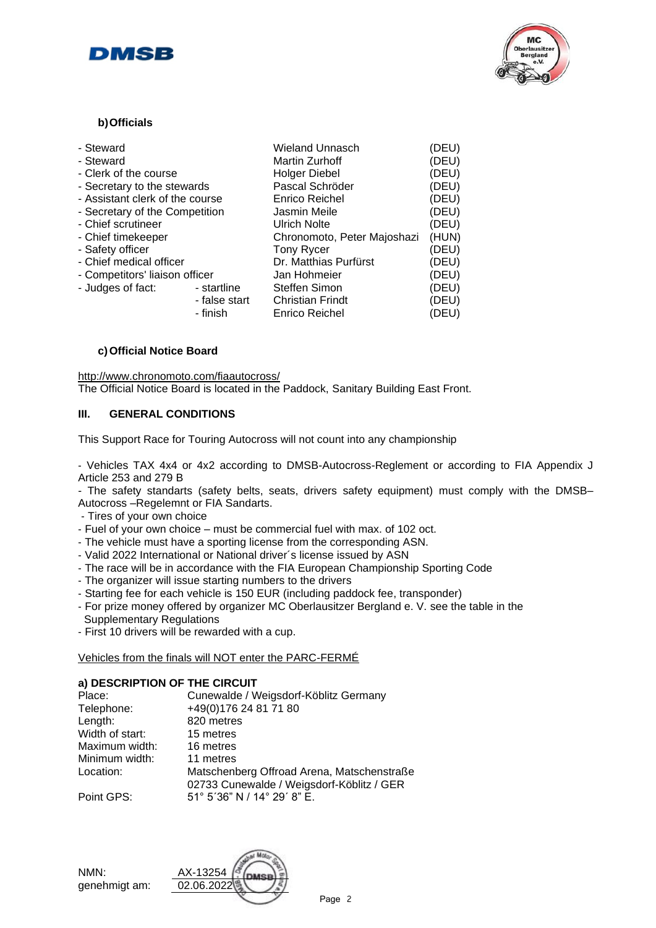



## **b)Officials**

| - Steward                       |               | Wieland Unnasch             | (DEU) |
|---------------------------------|---------------|-----------------------------|-------|
| - Steward                       |               | <b>Martin Zurhoff</b>       | (DEU) |
| - Clerk of the course           |               | <b>Holger Diebel</b>        | (DEU) |
|                                 |               |                             |       |
| - Secretary to the stewards     |               | Pascal Schröder             | (DEU) |
| - Assistant clerk of the course |               | <b>Enrico Reichel</b>       | (DEU) |
| - Secretary of the Competition  |               | Jasmin Meile                | (DEU) |
| - Chief scrutineer              |               | <b>Ulrich Nolte</b>         | (DEU) |
| - Chief timekeeper              |               | Chronomoto, Peter Majoshazi | (HUN) |
| - Safety officer                |               | <b>Tony Rycer</b>           | (DEU) |
| - Chief medical officer         |               | Dr. Matthias Purfürst       | (DEU) |
| - Competitors' liaison officer  |               | Jan Hohmeier                | (DEU) |
| - Judges of fact:               | - startline   | Steffen Simon               | (DEU) |
|                                 | - false start | <b>Christian Frindt</b>     | (DEU) |
|                                 | - finish      | <b>Enrico Reichel</b>       | (DEU) |
|                                 |               |                             |       |

## **c)Official Notice Board**

<http://www.chronomoto.com/fiaautocross/> The Official Notice Board is located in the Paddock, Sanitary Building East Front.

## **III. GENERAL CONDITIONS**

This Support Race for Touring Autocross will not count into any championship

‐ Vehicles TAX 4x4 or 4x2 according to DMSB-Autocross-Reglement or according to FIA Appendix J Article 253 and 279 B

- The safety standarts (safety belts, seats, drivers safety equipment) must comply with the DMSB– Autocross –Regelemnt or FIA Sandarts.

‐ Tires of your own choice

- ‐ Fuel of your own choice must be commercial fuel with max. of 102 oct.
- ‐ The vehicle must have a sporting license from the corresponding ASN.
- ‐ Valid 2022 International or National driver´s license issued by ASN
- ‐ The race will be in accordance with the FIA European Championship Sporting Code
- ‐ The organizer will issue starting numbers to the drivers
- ‐ Starting fee for each vehicle is 150 EUR (including paddock fee, transponder)
- ‐ For prize money offered by organizer MC Oberlausitzer Bergland e. V. see the table in the
- Supplementary Regulations
- ‐ First 10 drivers will be rewarded with a cup.

Vehicles from the finals will NOT enter the PARC-FERMÉ

## **a) DESCRIPTION OF THE CIRCUIT**

| Place:          | Cunewalde / Weigsdorf-Köblitz Germany         |
|-----------------|-----------------------------------------------|
| Telephone:      | +49(0)176 24 81 71 80                         |
| Length:         | 820 metres                                    |
| Width of start: | 15 metres                                     |
| Maximum width:  | 16 metres                                     |
| Minimum width:  | 11 metres                                     |
| Location:       | Matschenberg Offroad Arena, Matschenstraße    |
|                 | 02733 Cunewalde / Weigsdorf-Köblitz / GER     |
| Point GPS:      | $51^{\circ}$ 5'36" N / 14 $^{\circ}$ 29' 8" F |

Point GPS:

NMN: genehmigt am: 02.06

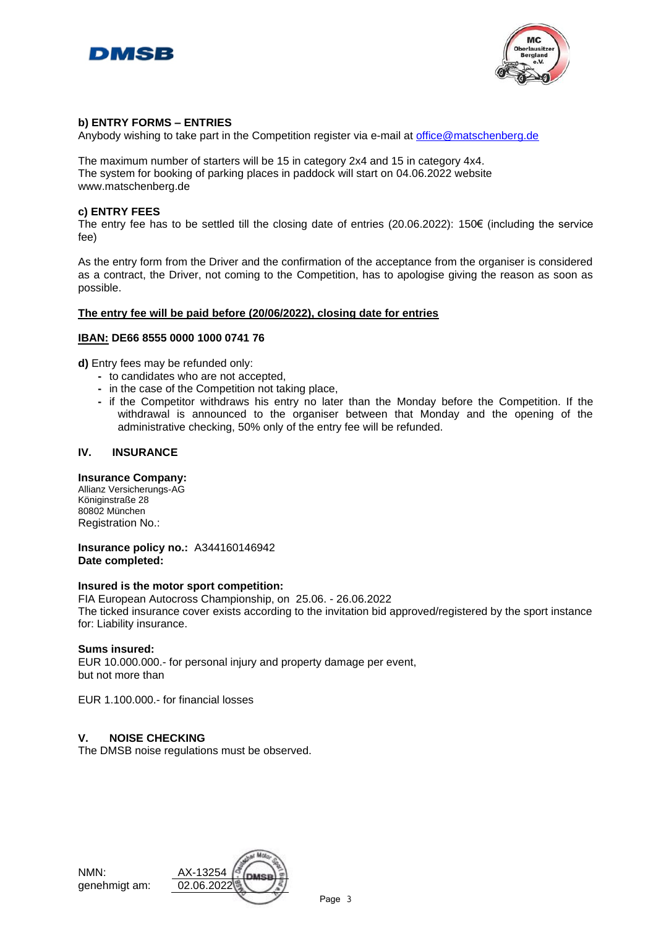



## **b) ENTRY FORMS – ENTRIES**

Anybody wishing to take part in the Competition register via e-mail at [office@matschenberg.de](mailto:office@matschenberg.de)

The maximum number of starters will be 15 in category 2x4 and 15 in category 4x4. The system for booking of parking places in paddock will start on 04.06.2022 website www.matschenberg.de

## **c) ENTRY FEES**

The entry fee has to be settled till the closing date of entries (20.06.2022): 150€ (including the service fee)

As the entry form from the Driver and the confirmation of the acceptance from the organiser is considered as a contract, the Driver, not coming to the Competition, has to apologise giving the reason as soon as possible.

## **The entry fee will be paid before (20/06/2022), closing date for entries**

## **IBAN: DE66 8555 0000 1000 0741 76**

**d)** Entry fees may be refunded only:

- **-** to candidates who are not accepted,
- **-** in the case of the Competition not taking place,
- **-** if the Competitor withdraws his entry no later than the Monday before the Competition. If the withdrawal is announced to the organiser between that Monday and the opening of the administrative checking, 50% only of the entry fee will be refunded.

## **IV. INSURANCE**

#### **Insurance Company:**

Allianz Versicherungs-AG Königinstraße 28 80802 München Registration No.:

**Insurance policy no.:** A344160146942 **Date completed:**

#### **Insured is the motor sport competition:**

FIA European Autocross Championship, on 25.06. - 26.06.2022 The ticked insurance cover exists according to the invitation bid approved/registered by the sport instance for: Liability insurance.

#### **Sums insured:**

EUR 10.000.000.- for personal injury and property damage per event, but not more than

EUR 1.100.000.- for financial losses

## **V. NOISE CHECKING**

The DMSB noise regulations must be observed.